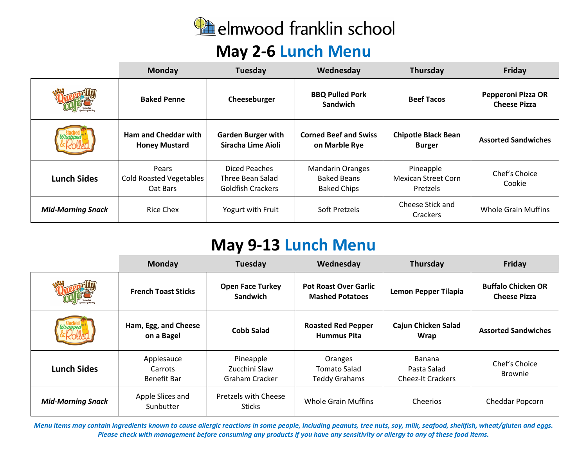

### **May 2-6 Lunch Menu**

|                          | <b>Monday</b>                                       | Tuesday                                                       | Wednesday                                                           | Thursday                                                   | Friday                                    |
|--------------------------|-----------------------------------------------------|---------------------------------------------------------------|---------------------------------------------------------------------|------------------------------------------------------------|-------------------------------------------|
|                          | <b>Baked Penne</b>                                  | Cheeseburger                                                  | <b>BBQ Pulled Pork</b><br><b>Sandwich</b>                           | <b>Beef Tacos</b>                                          | Pepperoni Pizza OR<br><b>Cheese Pizza</b> |
|                          | <b>Ham and Cheddar with</b><br><b>Honey Mustard</b> | <b>Garden Burger with</b><br>Siracha Lime Aioli               | <b>Corned Beef and Swiss</b><br>on Marble Rye                       | <b>Chipotle Black Bean</b><br><b>Burger</b>                | <b>Assorted Sandwiches</b>                |
| <b>Lunch Sides</b>       | Pears<br><b>Cold Roasted Vegetables</b><br>Oat Bars | Diced Peaches<br>Three Bean Salad<br><b>Goldfish Crackers</b> | <b>Mandarin Oranges</b><br><b>Baked Beans</b><br><b>Baked Chips</b> | Pineapple<br><b>Mexican Street Corn</b><br><b>Pretzels</b> | Chef's Choice<br>Cookie                   |
| <b>Mid-Morning Snack</b> | Rice Chex                                           | Yogurt with Fruit                                             | Soft Pretzels                                                       | Cheese Stick and<br>Crackers                               | Whole Grain Muffins                       |

# **May 9-13 Lunch Menu**

|                          | Monday                               | Tuesday                                      | Wednesday                                              | <b>Thursday</b>                                   | Friday                                           |
|--------------------------|--------------------------------------|----------------------------------------------|--------------------------------------------------------|---------------------------------------------------|--------------------------------------------------|
|                          | <b>French Toast Sticks</b>           | <b>Open Face Turkey</b><br><b>Sandwich</b>   | <b>Pot Roast Over Garlic</b><br><b>Mashed Potatoes</b> | <b>Lemon Pepper Tilapia</b>                       | <b>Buffalo Chicken OR</b><br><b>Cheese Pizza</b> |
|                          | Ham, Egg, and Cheese<br>on a Bagel   | <b>Cobb Salad</b>                            | <b>Roasted Red Pepper</b><br><b>Hummus Pita</b>        | <b>Cajun Chicken Salad</b><br>Wrap                | <b>Assorted Sandwiches</b>                       |
| <b>Lunch Sides</b>       | Applesauce<br>Carrots<br>Benefit Bar | Pineapple<br>Zucchini Slaw<br>Graham Cracker | Oranges<br>Tomato Salad<br><b>Teddy Grahams</b>        | Banana<br>Pasta Salad<br><b>Cheez-It Crackers</b> | Chef's Choice<br><b>Brownie</b>                  |
| <b>Mid-Morning Snack</b> | Apple Slices and<br>Sunbutter        | Pretzels with Cheese<br><b>Sticks</b>        | Whole Grain Muffins                                    | Cheerios                                          | <b>Cheddar Popcorn</b>                           |

Menu items may contain ingredients known to cause allergic reactions in some people, including peanuts, tree nuts, soy, milk, seafood, shellfish, wheat/gluten and eggs. Please check with management before consuming any products if you have any sensitivity or allergy to any of these food items.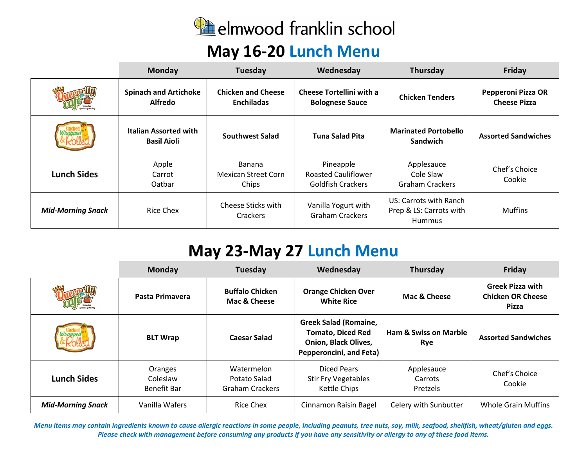

### **May 16-20 Lunch Menu**

|                          | <b>Monday</b>                                      | Tuesday                                        | Wednesday                                                    | Thursday                                                    | Friday                                    |
|--------------------------|----------------------------------------------------|------------------------------------------------|--------------------------------------------------------------|-------------------------------------------------------------|-------------------------------------------|
|                          | <b>Spinach and Artichoke</b><br><b>Alfredo</b>     | <b>Chicken and Cheese</b><br><b>Enchiladas</b> | <b>Cheese Tortellini with a</b><br><b>Bolognese Sauce</b>    | <b>Chicken Tenders</b>                                      | Pepperoni Pizza OR<br><b>Cheese Pizza</b> |
|                          | <b>Italian Assorted with</b><br><b>Basil Aioli</b> | Southwest Salad                                | <b>Tuna Salad Pita</b>                                       | <b>Marinated Portobello</b><br>Sandwich                     | <b>Assorted Sandwiches</b>                |
| <b>Lunch Sides</b>       | Apple<br>Carrot<br>Oatbar                          | Banana<br><b>Mexican Street Corn</b><br>Chips  | Pineapple<br><b>Roasted Cauliflower</b><br>Goldfish Crackers | Applesauce<br>Cole Slaw<br><b>Graham Crackers</b>           | Chef's Choice<br>Cookie                   |
| <b>Mid-Morning Snack</b> | <b>Rice Chex</b>                                   | Cheese Sticks with<br><b>Crackers</b>          | Vanilla Yogurt with<br><b>Graham Crackers</b>                | US: Carrots with Ranch<br>Prep & LS: Carrots with<br>Hummus | <b>Muffins</b>                            |

# **May 23-May 27 Lunch Menu**

|                          | <b>Monday</b>                      | Tuesday                                              | Wednesday                                                                                                          | Thursday                                | Friday                                                       |
|--------------------------|------------------------------------|------------------------------------------------------|--------------------------------------------------------------------------------------------------------------------|-----------------------------------------|--------------------------------------------------------------|
|                          | Pasta Primavera                    | <b>Buffalo Chicken</b><br>Mac & Cheese               | <b>Orange Chicken Over</b><br><b>White Rice</b>                                                                    | Mac & Cheese                            | <b>Greek Pizza with</b><br><b>Chicken OR Cheese</b><br>Pizza |
|                          | <b>BLT Wrap</b>                    | <b>Caesar Salad</b>                                  | <b>Greek Salad (Romaine,</b><br><b>Tomato, Diced Red</b><br><b>Onion, Black Olives,</b><br>Pepperoncini, and Feta) | <b>Ham &amp; Swiss on Marble</b><br>Rye | <b>Assorted Sandwiches</b>                                   |
| <b>Lunch Sides</b>       | Oranges<br>Coleslaw<br>Benefit Bar | Watermelon<br>Potato Salad<br><b>Graham Crackers</b> | Diced Pears<br><b>Stir Fry Vegetables</b><br>Kettle Chips                                                          | Applesauce<br>Carrots<br>Pretzels       | Chef's Choice<br>Cookie                                      |
| <b>Mid-Morning Snack</b> | Vanilla Wafers                     | Rice Chex                                            | Cinnamon Raisin Bagel                                                                                              | Celery with Sunbutter                   | <b>Whole Grain Muffins</b>                                   |

Menu items may contain ingredients known to cause allergic reactions in some people, including peanuts, tree nuts, soy, milk, seafood, shellfish, wheat/gluten and eggs. Please check with management before consuming any products if you have any sensitivity or allergy to any of these food items.